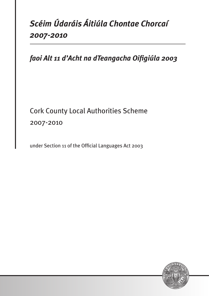# *Scéim Údaráis Áitiúla Chontae Chorcaí 2007-2010*

*faoi Alt 11 d'Acht na dTeangacha Oifigiúla 2003*

# Cork County Local Authorities Scheme 2007-2010

under Section 11 of the Official Languages Act 2003

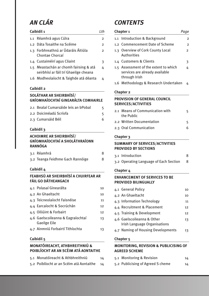## *An Clár*

## **Caibidil 1** *Lth* 1.1 Réamhrá agus Cúlra **2020 - 2021 - 2021 - 2022** 1.2 Dáta Tosaithe na Scéime<br>
2 1.3 Forbhreathnú ar Údaráis Áitiúla 2 Chontae Chorcaí 1.4 Custaiméirí agus Cliaint 3 1.5 Meastachán ar chomh fairsing & atá 4 seirbhísí ar fáil trí Ghaeilge cheana 1.6 Modheolaíocht & Taighde atá déanta 4 **Caibidil 2 Soláthar ar Sheirbhísí/ Gníomhaíochtaí Ginearálta Comhairle** 2.1 Bealaí Cumarsáide leis an bPobal 5 2.2 Doiciméadú Scríofa **52.2 Doichadú** Scríofa 2.3 Cumarsáid Béil 6

#### **Caibidil 3**

#### **Achoimre ar Sheirbhísí/ Gníomhaíochtaí a sholáthraíonn Rannóga**

| 3.1 Réamhrá                      |  |
|----------------------------------|--|
| 3.2 Teanga Feidhme Gach Rannóige |  |

#### **Caibidil 4**

#### **Feabhsú ar Sheirbhísí a Chuirfear ar fáil go Dátheangach**

| 4.1 Polasaí Ginearálta       | 10 |
|------------------------------|----|
| 4.2 An Ghaeltacht            | 10 |
| 4.3 Teicneolaíocht Faisnéise | 11 |

- 4.4 Earcaíocht & Socrúchán 12 4.5 Oiliúint & Forbairt 12 4.6 Gaelscoileanna & Eagraíochtaí 13 Gaeilge Eile
- 4.7 Ainmniú Forbairtí Tithíochta 13

#### **Caibidil 5**

#### **Monatóireacht, Athbhreithniú & Poiblíocht ar an Scéim atá Aontaithe**

| 5.1 Monatóireacht & Athbhreithniú        | 14 |
|------------------------------------------|----|
| 5.2 Poiblíocht ar an Scéim atá Aontaithe | 14 |

## *CONTENTS*

| Chapter <sub>1</sub> |                                                                                          | raa                  |
|----------------------|------------------------------------------------------------------------------------------|----------------------|
|                      | 1.1 Introduction & Background                                                            | $\overline{2}$       |
|                      | 1.2 Commencement Date of Scheme                                                          | $\overline{2}$       |
|                      | 1.3 Overview of Cork County Local<br>Authorities                                         | $\mathbf{2}^{\circ}$ |
|                      | 1.4 Customers & Clients                                                                  | З                    |
|                      | 1.5 Assessment of the extent to which<br>services are already available<br>through Irish | 4                    |
|                      | 1.6 Methodology & Research Undertaken                                                    | 4                    |
|                      | <b>ALL STRATES</b>                                                                       |                      |

#### **Chapter 2**

#### **Provision of General Council Services/Activities**

| 2.1 Means of Communication with<br>the Public |  |
|-----------------------------------------------|--|
| 2.2 Written Documentation                     |  |
| 2.3 Oral Communication                        |  |
|                                               |  |

#### **Chapter 3**

#### **Summary of Services/Activities provided by Sections**

| 3.1 Introduction                       |  |
|----------------------------------------|--|
| 3.2 Operating Language of Each Section |  |

#### **Chapter 4**

#### **Enhancement of Services to be Provided Bilingually**

| 4.1 General Policy                                                | 10 |
|-------------------------------------------------------------------|----|
| 4.2 An Ghaeltacht                                                 | 10 |
| 4.3 Information Technology                                        | 11 |
| 4.4 Recruitment & Placement                                       | 12 |
| 4.5 Training & Development                                        | 12 |
| 4.6 Gaelscoileanna & Other<br><b>Irish Language Organisations</b> | 13 |
| 4.7 Naming of Housing Developments                                | 13 |

#### **Chapter 5**

#### **Monitoring, Revision & Publicising of Agreed Scheme**

| 5.1 Monitoring & Revision         | 14 |
|-----------------------------------|----|
| 5.2 Publicising of Agreed S cheme | 14 |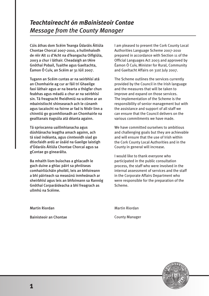## *Teachtaireacht ón mBainisteoir Contae Message from the County Manager*

Cúis áthas dom Scéim Teanga Údaráis Áitiúla Chontae Chorcaí 2007-2010, a hullmhaíodh de réir Alt 11 d'Acht na dTeangacha Oifigiúla, 2003 a chur i láthair. Cheadaigh an tAire Gnóthaí Pobail, Tuaithe agus Gaeltachta, Éamon Ó Cuív, an Scéim ar 31 Iúil 2007.

Tugann an Scéim cuntas ar na seirbhísí atá an Chomhairle ag cur ar fáil trí Ghaeilge faoi láthair agus ar na bearta a thógfar chun feabhas agus méadú a chur ar na seirbhísí sin. Tá freagracht fheidhmiú na scéime ar an mbainistíocht shinsearach ach le cúnamh agus tacaíocht na foirne ar fad is féidir linn a chinntiú go gcomhlíonadh an Chomhairle na gealltanais éagsúla atá déanta againn.

Tá spriocanna uaillmhianacha agus dúshlánacha leagtha amach againn, ach tá siad indéanta, agus cinnteoidh siad go dtiocfaidh ardú ar úsáid na Gaeilge laistigh d'Údaráis Áitiúla Chontae Chorcaí agus sa gContae go ginearálta.

Ba mhaith liom buíochas a ghlacadh le gach duine a ghlac páirt sa phróiseas comhairliúcháin phoiblí, leis an bhfoireann a bhí páirteach sa measúnú inmheánach ar sheirbhísí agus leis an bhfoireann sa Rannóg Gnóthaí Corparáideacha a bhí freagrach as ullmhú na Scéime.

I am pleased to present the Cork County Local Authorities Language Scheme 2007-2010 prepared in accordance with Section 11 of the Official Languages Act 2003 and approved by Éamon Ó Cuív, Minister for Rural, Community and Gaeltacht Affairs on 31st July 2007.

The Scheme outlines the services currently provided by the Council in the Irish language and the measures that will be taken to improve and expand on those services. The implementation of the Scheme is the responsibility of senior management but with the assistance and support of all staff we can ensure that the Council delivers on the various commitments we have made.

We have committed ourselves to ambitious and challenging goals but they are achievable and will ensure that the use of Irish within the Cork County Local Authorities and in the County in general will increase.

I would like to thank everyone who participated in the public consultation process, the staff who were involved in the internal assessment of services and the staff in the Corporate Affairs Department who were responsible for the preparation of the Scheme.

Martin Riordan

Bainisteoir an Chontae

Martin Riordan County Manager

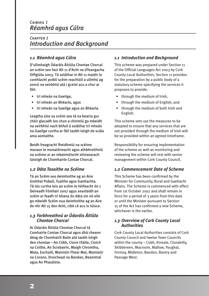## *Caibidil 1 Réamhrá agus Cúlra*

## *Chapter 1 Introduction and Background*

## *1.1 Réamhrá agus Cúlra*

D'ullmhaigh Údaráis Áitiúla Chontae Chorcaí an scéim seo faoi Alt 11 d'Acht na dTeangacha Oifigiúla 2003. Tá soláthar in Alt 11 maidir le comhlacht poiblí scéim reachtúil a ullmhú ag sonrú na seirbhísí atá i gceist acu a chur ar fáil:

- trí mheán na Gaeilge,
- trí mheán an Bhéarla, agus
- trí mheán na Gaeilge agus an Bhéarla.

Leagtha síos sa scéim seo tá na bearta gur chóir glacadh leo chun a chinntiú go mbeidh na seirbhísí nach bhfuil á soláthar trí mheán na Gaeilge curtha ar fáil taobh istigh de scála ama aontaithe.

Beidh freagracht fheidhmiú na scéime maraon le monatóireacht agus athbhreithniú na scéime ar an mbainistíocht shinsearach laistigh de Chomhairle Contae Chorcaí.

## *1.2 Dáta Tosaithe na Scéime*

Tá an Scéim seo deimhnithe ag an Aire Gnóthaí Pobail, Tuaithe agus Gaeltachta. Tá tús curtha leis an scéim le héifeacht ón 1 Deireadh Fómhair 2007 agus seasfaidh an scéim ar feadh trí bliana ón dáta sin nó eile go mbeidh Scéim nua deimhnithe ag an Aire de réir Alt 15 den Acht, cibé cé acu is túisce.

#### *1.3 Forbhreathnú ar Údaráis Áitiúla Chontae Chorcaí*

Ar Údaráis Áitiúla Chontae Chorcaí tá Comhairle Contae Chorcaí agus dhá cheann déag de Chomhairlí Baile atá taobh istigh den chontae – An Cóbh, Cionn tSáile, Cloich na Coillte, An Sciobairín, Maigh Chromtha, Mala, Eochaill, Mainistir Fhear Maí, Mainistir na Corann, Droichead na Bandan, Beanntraí agus An Phasáiste.

## *1.1 Introduction and Background*

This scheme was prepared under Section 11 of the Official Languages Act 2003 by Cork County Local Authorities. Section 11 provides for the preparation by a public body of a statutory scheme specifying the services it proposes to provide:

- through the medium of Irish,
- through the medium of English, and
- through the medium of both Irish and English.

This scheme sets out the measures to be adopted to ensure that any services that are not provided through the medium of Irish will be so provided within an agreed timeframe.

Responsibility for ensuring implementation of the scheme as well as monitoring and reviewing the scheme will rest with senior management within Cork County Council.

## *1.2 Commencement Date of Scheme*

This Scheme has been confirmed by the Minister for Community, Rural and Gaeltacht Affairs. The Scheme is commenced with effect from 1st October 2007 and shall remain in force for a period of 3 years from this date or until the Minister pursuant to Section 15 of the Act has confirmed a new Scheme, whichever is the earlier.

#### *1.3 Overview of Cork County Local Authorities*

Cork County Local Authorities consists of Cork County Council and twelve Town Councils within the county – Cobh, Kinsale, Clonakilty, Skibbereen, Macroom, Mallow, Youghal, Fermoy, Midleton, Bandon, Bantry and Passage West.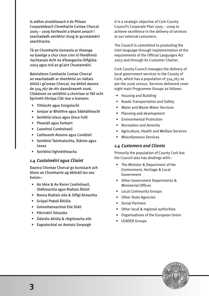Is aidhm straitéiseach é de Phlean Corparáideach Chomhairle Contae Chorcaí 2005 – 2009 foirfeacht a bhaint amach i seachadadh seirbhísí chuig ár gcustaiméirí seachtracha.

Tá an Chomhairle tiomanta ar theanga na Gaeilge a chur chun cinn trí fheidhmiú riachtanais Acht na dTeangacha Oifigiúla 2003 agus tríd an gCairt Chustaiméirí.

Bainistíonn Comhairle Contae Chorcaí an seachadadh ar sheirbhísí an rialtais áitiúil i gContae Chorcaí, ina bhfuil daonra de 324,767 de réir daonáireamh 2006. Clúdaíonn na seirbhísí a chuirtear ar fáil ocht bpríomh Ghrúpa Clár mar a leanann:

- Tithíocht agus Foirgníocht
- Iompar ar Bhóithre agus Sábháilteacht
- Seirbhísí Uisce agus Uisce Fuíll
- Pleanáil agus Forbairt
- Caomhnú Comhshaoil
- Caitheamh Aimsire agus Conláistí
- Seirbhísí Talmhaíochta, Sláinte agus Leasa
- Seirbhísí Ilghnéitheacha

#### *1.4 Custaiméirí agus Cliaint*

Daonra Chontae Chorcaí go bunúsach ach bíonn an Chomhairle ag déileáil leo seo freisin:-

- An tAire & An Roinn Comhshaoil, Oidhreachta agus Rialtais Áitiúil
- Ranna Rialtais eile & Oifigí Aireachta
- Grúpaí Pobail Áitiúla
- Gníomhaireachtaí Eile Stáit
- Páirtnéirí Sóisialta
- Údaráis áitiúla & réigiúnacha eile
- Eagraíochtaí an Aontais Eorpaigh

It is a strategic objective of Cork County Council's Corporate Plan 2005 – 2009 to achieve excellence in the delivery of services to our external customers.

The Council is committed to promoting the Irish language through implementation of the requirements of the Official Languages Act 2003 and through its Customer Charter.

Cork County Council manages the delivery of local government services in the County of Cork, which has a population of 324,767 as per the 2006 census. Services delivered cover eight main Programme Groups as follows:

- Housing and Building
- Roads Transportation and Safety
- Water and Waste Water Services
- Planning and development
- Environmental Protection
- Recreation and Amenity
- Agriculture, Health and Welfare Services
- Miscellaneous Services

#### *1.4 Customers and Clients*

Primarily the population of County Cork but the Council also has dealings with:-

- The Minister & Department of the Environment, Heritage & Local Government
- Other Government Departments & Ministerial Offices
- Local Community Groups
- Other State Agencies
- Social Partners
- Other local & regional authorities
- Organisations of the European Union
- LEADER Groups

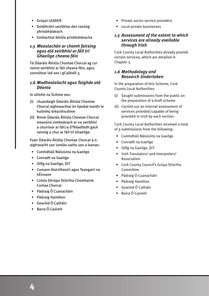- Grúpaí LEADER
- Soláthróirí seirbhíse den rannóg phríobháideach
- Gnólachtaí áitiúla príobháideacha

#### *1.5 Meastachán ar chomh fairsing agus atá seirbhísí ar fáil trí Ghaeilge cheana féin*

Tá Údaráis Áitiúla Chontae Chorcaí ag cur roinnt seirbhísí ar fáil cheana féin, agus sonraítear iad seo i gCaibidil 3.

#### *1.6 Modheolaíocht agus Taighde atá Déanta*

In ullmhú na Scéime seo:

- (i) chuardaigh Údaráis Áitiúla Chontae Chorcaí aighneachtaí ón bpobal maidir le hullmhú dréachtscéime
- (ii) Rinne Údaráis Áitiúla Chontae Chorcaí measúnú inmheánach ar na seirbhísí a chuirtear ar fáil/a d'fhéadfadh gach rannóg a chur ar fáil trí Ghaeilge.

Fuair Údaráis Áitiúla Chontae Chorcaí 9 naighneacht san iomlán uathu seo a leanas:

- Comhdháil Náisiúnta na Gaeilge
- Conradh na Gaeilge
- Oifig na Gaeilge, DIT
- Cumann Aistritheoirí agus Teangairí na hÉireann
- Coiste Ghrúpa Stiúrtha Chomhairle Contae Chorcaí
- Pádraig Ó Cuanacháin
- Pádraig Hamilton
- Gearóid Ó Catháin
- Barra Ó Caoimh
- Private sector service providers
- Local private businesses

#### *1.5 Assessment of the extent to which services are already available through Irish*

Cork County Local Authorities already provide certain services, which are detailed in Chapter 3.

#### *1.6 Methodology and Research Undertaken*

In the preparation of this Scheme, Cork County Local Authorities:

- (i) Sought submissions from the public on the preparation of a draft scheme
- (ii) Carried out an internal assessment of services provided/capable of being provided in Irish by each section.

Cork County Local Authorities received a total of 9 submissions from the following:

- Comhdháil Náisiúnta na Gaeilge
- Conradh na Gaeilge
- Oifig na Gaeilge, DIT
- Irish Translators' and Interpreters' Association
- Cork County Council's Grúpa Stiúrtha Committee
- Pádraig Ó Cuanacháin
- Pádraig Hamilton
- Gearóid Ó Catháin
- Barra Ó Caoimh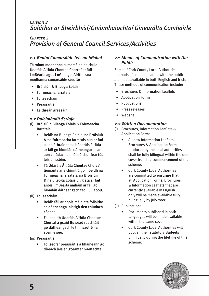## *Caibidil 2 Soláthar ar Sheirbhísí/Gníomhaíochtaí Ginearálta Comhairle*

## *Chapter 2 Provision of General Council Services/Activities*

## *2.1 Bealaí Cumarsáide leis an bPobal*

Tá roinnt modhanna cumarsáide de chuid Údaráis Áitiúla Chontae Chorcaí ar fáil i mBéarla agus i nGaeilge. Áirithe sna modhanna cumarsáide seo, tá:

- Bróisiúir & Bileoga Eolais
- Foirmeacha Iarratais
- Foilseacháin
- Preasráitis
- Láithreán gréasáin

#### *2.2 Doiciméadú Scríofa*

- (i) Bróisiúir, Bileoga Eolais & Foirmeacha Iarratais
	- Beidh na Bileoga Eolais, na Bróisiúir & na Foirmeacha Iarratais nua ar fad a sholáthraíonn na húdaráis áitiúla ar fáil go hiomlán dátheangach san aon chlúdach amháin ó chuirfear tús leis an scéim.
	- Tá Údaráis Áitiúla Chontae Chorcaí tiomanta ar a chinntiú go mbeidh na Foirmeacha Iarratais, na Bróisiúir & na Bileoga Eolais uilig atá ar fáil anois i mBéarla amháin ar fáil go hiomlán dátheangach faoi Iúil 2008.
- (ii) Foilseacháin
	- Beidh fáil ar dhoiciméid atá foilsithe sa dá theanga laistigh den chlúdach céanna.
	- Foilseoidh Údaráis Áitiúla Chontae Chorcaí a gcuid Buiséad reachtúil go dátheangach le linn saolré na scéime seo.
- (iii) Preasráitis
	- Foilseofar preasráitis a bhaineann go díreach leis an gceantar Gaeltachta

#### *2.1 Means of Communication with the Public*

Some of Cork County Local Authorities' methods of communication with the public are made available in both English and Irish. These methods of communication include:

- Brochures & Information Leaflets
- Application Forms
- Publications
- Press releases
- Website

#### *2.2 Written Documentation*

- (i) Brochures, Information Leaflets & Application Forms
	- All new Information Leaflets, Brochures & Application Forms produced by the local authorities shall be fully bilingual within the one cover from the commencement of the scheme.
	- Cork County Local Authorities are committed to ensuring that all Application Forms, Brochures & Information Leaflets that are currently available in English only will be made available fully bilingually by July 2008.
- (ii) Publications
	- Documents published in both languages will be made available within the same cover.
	- Cork County Local Authorities will publish their statutory Budgets bilingually during the lifetime of this scheme.

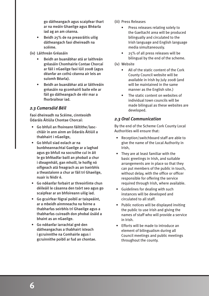go dátheangach agus scaipfear thart ar na meáin Ghaeilge agus Bhéarla iad ag an am céanna.

- Beidh 25% de na preasráitis uilig dátheangach faoi dheireadh na scéime.
- (iv) Láithreán Gréasáin
	- Beidh an buanábhar atá ar laithreán gréasáin Chomhairle Contae Chorcaí ar fáil i nGaeilge faoi Iúil 2008 (agus déanfar an cothú céanna air leis an suíomh Béarla).
	- Beidh an buanábhar atá ar láithreáin gréasáin na gcomhairlí baile eile ar fáil go dátheangach de réir mar a fhorbraítear iad.

## *2.3 Cumarsáid Béil*

Faoi dheireadh na Scéime, cinnteoidh Údaráis Áitiúla Chontae Chorcaí:

- Go bhfuil an fhoireann fáiltithe/lascchláir in ann ainm an Údaráis Áitiúil a thabhairt i nGaeilge,
- Go bhfuil siad eolach ar na bunbheannachtaí Gaeilge ar a laghad agus go bhfuil na socruithe cuí in áit le go bhféadfar baill an phobail a chur i dteagmháil, gan mhoill, le hoifig nó oifigeach atá freagrach as an tseirbhís a theastaíonn a chur ar fáil trí Ghaeilge, nuair is féidir é.
- Go ndéanfar forbairt ar threoirlínte chun déileáil le cásanna den tsórt seo agus go scaipfear ar an bhfoireann uilig iad.
- Go gcuirfear fógraí poiblí ar taispeáint, ar a mbeidh ainmneacha na foirne a thabharfas seirbhís trí Ghaeilge agus a thabharfas cuireadh don phobal úsáid a bhaint as an nGaeilge.
- Go ndéanfar iarrachtaí gné den dátheangachas a thabhairt isteach i gcruinnithe na Comhairle agus i gcruinnithe poiblí ar fud an chontae.
- (iii) Press Releases
	- Press releases relating solely to the Gaeltacht area will be produced bilingually and circulated to the Irish language and English language media simultaneously.
	- 25% of all press releases will be bilingual by the end of the scheme.
- (iv) Website
	- All of the static content of the Cork County Council website will be available in Irish by July 2008 (and will be maintained in the same manner as the English site.)
	- The static content on websites of individual town councils will be made bilingual as these websites are developed.

## *2.3 Oral Communication*

By the end of the Scheme Cork County Local Authorities will ensure that:

- Reception/switchboard staff are able to give the name of the Local Authority in Irish,
- They are at least familiar with the basic greetings in Irish, and suitable arrangements are in place so that they can put members of the public in touch, without delay, with the office or officer responsible for offering the service required through Irish, where available.
- Guidelines for dealing with such instances will be developed and circulated to all staff.
- Public notices will be displayed inviting the public to use Irish and giving the names of staff who will provide a service in Irish.
- Efforts will be made to introduce an element of bilingualism during all Council meetings and public meetings throughout the county.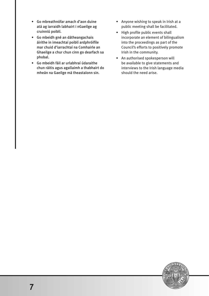- Go mbreathnófar amach d'aon duine atá ag iarraidh labhairt i nGaeilge ag cruinniú poiblí.
- Go mbeidh gné an dátheangachais áirithe in imeachtaí poiblí ardphróifíle mar chuid d'iarrachtaí na Comhairle an Ghaeilge a chur chun cinn go dearfach sa phobal.
- Go mbeidh fáil ar urlabhraí údaraithe chun ráitis agus agallaimh a thabhairt do mheán na Gaeilge má theastaíonn sin.

 $\overline{7}$ 

- Anyone wishing to speak in Irish at a public meeting shall be facilitated.
- High profile public events shall incorporate an element of bilingualism into the proceedings as part of the Council's efforts to positively promote Irish in the community.
- An authorised spokesperson will be available to give statements and interviews to the Irish language media should the need arise.

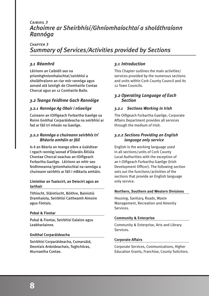## *Caibidil 3 Achoimre ar Sheirbhísí/Ghníomhaíochtaí a sholáthraíonn Rannóga*

## *Chapter 3 Summary of Services/Activities provided by Sections*

## *3.1 Réamhrá*

Léiríonn an Caibidil seo na príomhghníomhaíochtaí/seirbhísí a sholáthraíonn an riar mór rannóga agus aonaid atá laistigh de Chomhairle Contae Chorcaí agus an 12 Comhairle Baile.

#### *3.2 Teanga Feidhme Gach Rannóige*

#### *3.2.1 Rannóga Ag Obair i nGaeilge*

Cuireann an tOifigeach Forbartha Gaeilge sa Roinn Gnóthaí Corparáideacha na seirbhísí ar fad ar fáil trí mheán na Gaeilge.

#### *3.2.2 Rannóga a chuireann seirbhís trí Bhéarla amháin ar fáil*

Is é an Béarla an teanga oibre a úsáidtear i ngach rannóg/aonad d'Údaráis Áitiúla Chontae Chorcaí seachas an tOifigeach Forbartha Gaeilge. Léiríonn an mhír seo feidhmeanna/gníomhaíochtaí na rannóga a chuireann seirbhís ar fáil i mBéarla amháin.

#### **Limistéar an Tuaiscirt, an Deiscirt agus an Iarthair**

Tithíocht, Sláintíocht, Bóithre, Bainistiú Dramhaíola, Seirbhísí Caitheamh Aimsire agus Fóntais.

#### **Pobal & Fiontar**

Pobal & Fiontar, Seirbhísí Ealaíon agus Leabharlainne.

#### **Gnóthaí Corparáideacha**

Seirbhísí Corparáideacha, Cumarsáid, Deontais Ardoideachais, Toghchóras, Aturnaetha Contae.

### *3.1 Introduction*

This Chapter outlines the main activities/ services provided by the numerous sections and units within Cork County Council and its 12 Town Councils.

#### *3.2 Operating Language of Each Section*

#### *3.2.1 Sections Working in Irish*

The Oifigeach Forbartha Gaeilge, Corporate Affairs Department provides all services through the medium of Irish.

#### *3.2.2 Sections Providing an English language only service*

English is the working language used in all sections/units of Cork County Local Authorities with the exception of an t-Oifigeach Forbartha Gaeilge (Irish Development Officer). The following section sets out the functions/activities of the sections that provide an English language only service.

#### **Northern, Southern and Western Divisions**

Housing, Sanitary, Roads, Waste Management, Recreation and Amenity Services.

#### **Community & Enterprise**

Community & Enterprise, Arts and Library Services.

#### **Corporate Affairs**

Corporate Services, Communications, Higher Education Grants, Franchise, County Solicitors.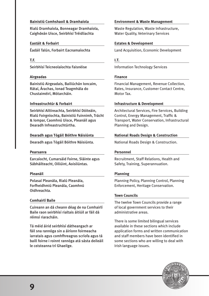#### **Bainistiú Comhshaoil & Dramhaíola**

Rialú Dramhaíola, Bonneagar Dramhaíola, Caighdeán Uisce, Seirbhísí Tréidliachta

#### **Eastáit & Forbairt**

Éadáil Talún, Forbairt Eacnamaíochta

#### **T.F.**

Seirbhísí Teicneolaíochta Faisnéise

#### **Airgeadas**

Bainistiú Airgeadais, Bailiúchán Ioncaim, Rátaí, Árachas, Ionad Teagmhála do Chustaiméirí, Mótarcháin.

#### **Infreastruchtúr & Forbairt**

Seirbhísí Ailtireachta, Seirbhísí Dóiteáin, Rialú Foirgníochta, Bainistiú Fuinnimh, Trácht & Iompar, Caomhnú Uisce, Pleanáil agus Dearadh Infreastruchtúrtha.

#### **Dearadh agus Tógáil Bóithre Náisiúnta**

Dearadh agus Tógáil Bóithre Náisiúnta.

#### **Pearsanra**

Earcaíocht, Cumarsáid Foirne, Sláinte agus Sábháilteacht, Oiliúint, Aoisliúntas.

#### **Pleanáil**

Polasaí Pleanála, Rialú Pleanála, Forfheidhmiú Pleanála, Caomhnú Oidhreachta.

#### **Comhairlí Baile**

Cuireann an dá cheann déag de na Comhairlí Baile raon seirbhísí rialtais áitiúil ar fáil dá réimsí riaracháin.

Tá méid áirid seirbhísí dátheangach ar fáil sna rannóga sin a áiríonn foirmeacha iarratais agus comhfhreagras scríofa agus tá baill foirne i roinnt rannóga atá sásta deileáil le ceisteanna trí Ghaeilge.

#### **Environment & Waste Management**

Waste Regulation, Waste Infrastructure, Water Quality, Veterinary Services

#### **Estates & Development**

Land Acquisition, Economic Development

#### **I.T.**

Information Technology Services

#### **Finance**

Financial Management, Revenue Collection, Rates, Insurance, Customer Contact Centre, Motor Tax.

#### **Infrastructure & Development**

Architectural Services, Fire Services, Building Control, Energy Management, Traffic & Transport, Water Conservation, Infrastructural Planning and Design.

#### **National Roads Design & Construction**

National Roads Design & Construction.

#### **Personnel**

Recruitment, Staff Relations, Health and Safety, Training, Superannuation.

#### **Planning**

Planning Policy, Planning Control, Planning Enforcement, Heritage Conservation.

#### **Town Councils**

The twelve Town Councils provide a range of local government services to their administrative areas.

There is some limited bilingual services available in these sections which include application forms and written communication and staff members have been identified in some sections who are willing to deal with Irish language issues.

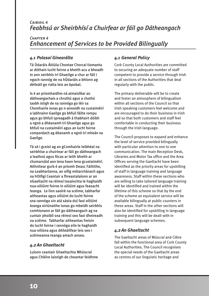## *Caibidil 4 Feabhsú ar Sheirbhísí a Chuirfear ar fáil go Dátheangach*

## *Chapter 4 Enhancement of Services to be Provided Bilingually*

## *4.1 Polasaí Ginearálta*

Tá Údaráis Áitiúla Chontae Chorcaí tiomanta ar dóthain lucht foirne a bheith acu a bheadh in ann seirbhís trí Ghaeilge a chur ar fáil i ngach rannóg de na hÚdaráis a bhíonn ag déileáil go rialta leis an bpobal.

Is é an príomhaidhm ná atmaisféar an dátheangachais a chruthú agus a chothú taobh istigh de na rannóga go léir sa Chomhairle ionas go n-aireoidh na custaiméirí a labhraínn Gaeilge go bhfuil fáilte rompu agus go bhfuil spreagadh á thabhairt dóibh a ngnó a dhéanamh trí Ghaeilge agus go bhfuil na custaiméirí agus an lucht foirne compordach ag déanamh a ngnó trí mheán na Gaeilge.

Tá sé i gceist ag an gComhairle leibhéal na seirbhíse a chuirtear ar fáil go dátheangach a leathnú agus fócas ar leith bheith ar chumarsáid aon lena haon lena gcustaiméirí. Aithnítear gurb é an príomh Deasc Fáiltithe, na Leabharlanna, an oifig mótarchánach agus na hOifigí Ceantair a fhreastalaíonn ar an nGaeltacht na réimsí tosaíochta le haghaidh nua-oiliúint foirne in oiliúint agus feasacht teanga. Le linn saolré na scéime, tabharfar aitheantas agus oiliúint do lucht foirne sna rannóga sin atá sásta dul faoi oiliúint teanga oiriúnaithe ionas go mbeidh seirbhís comhionann ar fáil go dátheangach ag na cuntair phoiblí sna réimsí seo faoi dheireadh na scéime. Tabharfar aitheantas freisin do lucht foirne i rannóga eile le haghaidh nua-oiliúna agus déileáilfear leis seo i scéimeanna teanga amach anseo.

## *4.2 An Ghaeltacht*

Luíonn ceantair Ghaeltachta Mhúscraí agus Chléire laistigh de cheantar feidhme

## *4.1 General Policy*

Cork County Local Authorities are committed to securing an adequate number of staff competent to provide a service through Irish in all sections of the Authorities that deal regularly with the public.

The primary deliverable will be to create and foster an atmosphere of bilingualism within all sections of the Council so that Irish speaking customers feel welcome and are encouraged to do their business in Irish and so that both customers and staff feel comfortable in conducting their business through the Irish language.

The Council proposes to expand and enhance the level of service provided bilingually with particular attention to one to one communication. The main Reception Desk, Libraries and Motor Tax office and the Area Offices serving the Gaeltacht have been identified as the priority areas for upskilling of staff in language training and language awareness. Staff within these sections who are willing to take tailored language training will be identified and trained within the lifetime of this scheme so that by the end of the scheme an equivalent service will be available bilingually at public counters in these areas. Staff in the other sections will also be identified for upskilling in language training and this will be dealt with in subsequent language schemes.

## *4.2 An Ghaeltacht*

The Gaeltacht areas of Múscraí and Cléire fall within the functional area of Cork County Local Authorities. The Council recognises the special needs of the Gaeltacht areas as centres of our linguistic heritage and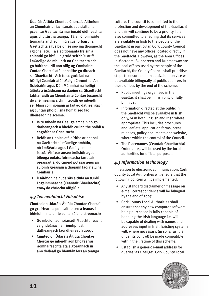Údaráis Áitiúla Chontae Chorcaí. Aithníonn an Chomhairle riachtanais speisialta na gceantar Gaeltachta mar ionaid oidhreachta agus chultúrtha teanga. Tá an Chomhairle tiomanta ar chaomhnú agus forbairt na Gaeltachta agus beidh sé seo ina thosaíocht i gcónaí acu. Tá siad tiomanta freisin a chinntiú go bhfuil a gcuid seirbhísí ar fáil i nGaeilge do mhuintir na Gaeltachta ach go háirithe. Níl aon oifig ag Comhairle Contae Chorcaí atá lonnaithe go díreach sa Ghaeltacht. Ach toisc gurb iad na hOifigí Ceantair atá i Maigh Chromtha, An Sciobairín agus Dún Mánmhaí na hoifigí áitiúla a úsáideann na daoine sa Ghaeltacht, tabharfaidh an Chomhairle Contae tosaíocht do chéimeanna a chinnteoidh go mbeidh seirbhísí comhionann ar fáil go dátheangach ag cuntair phoiblí sna hoifigí seo faoi dheireadh na scéime.

- Is trí mheán na Gaeilge amháin nó go dátheangach a bheidh cruinnithe poiblí a eagrófar sa Ghaeltacht.
- Beidh an t-eolas atá dírithe ar phobal na Gaeltachta i nGaeilge amháin, nó i mBéarla agus i Gaeilge nuair is cuí. Áirítear anseo bróisiúir agus bileoga eolais, foirmeacha iarratais, preasráitis, doiciméid polasaí agus an suíomh gréasáin a thagann faoi rialú na Comhairle.
- Úsáidfidh na húdaráis áitiúla an tOrdú Logainmneacha (Ceantair Ghaeltachta) 2004 do chríocha oifigiúla.

## *4.3 Teicneolaíocht Faisnéise*

Cinnteoidh Údaráis Áitiúla Chontae Chorcaí go gcuirfear na polasaithe seo a leanas i bhfeidhm maidir le cumarsáid leictreonach:

- Go mbeidh aon séanadh/teachtaireacht caighdeánach ar ríomhphost dátheangach faoi dheireadh 2007.
- Cinnteoidh Údaráis Áitiúla Chontae Chorcaí go mbeidh aon bhogearraí ríomhaireachta atá á gceannach in ann déileáil go hiomlán leis an teanga

culture. The council is committed to the protection and development of the Gaeltacht and this will continue to be a priority. It is also committed to ensuring that its services are available in Irish to the people of the Gaeltacht in particular. Cork County Council does not have any offices located directly in the Gaeltacht. However, as the Area Offices in Macroom, Skibbereen and Dunmanway are the local offices used by the people of the Gaeltacht, the County Council shall prioritise steps to ensure that an equivalent service will be available bilingually at public counters in these offices by the end of the scheme.

- Public meetings organised in the Gaeltacht shall be in Irish only or fully bilingual.
- Information directed at the public in the Gaeltacht will be available in Irish only, or in both English and Irish where appropriate. This includes brochures and leaflets, application forms, press releases, policy documents and website, where within the control of the Council.
- The Placenames (Ceantair Ghaeltachta) Order 2004, will be used by the local authorities for official purposes.

## *4.3 Information Technology*

In relation to electronic communication, Cork County Local Authorities will ensure that the following policies will be implemented:

- Any standard disclaimer or message on e-mail correspondence will be bilingual by the end of 2007.
- Cork County Local Authorities shall ensure that any new computer software being purchased is fully capable of handling the Irish language i.e. will be capable of dealing with names and addresses input in Irish. Existing systems will, where necessary, (in so far as it is under its control) be made compatible within the lifetime of this scheme.
- Establish a generic e-mail address for queries 'as Gaeilge'. Cork County Local

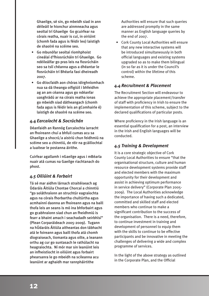Ghaeilge, sé sin, go mbeidh siad in ann déileáil le hionchur ainmneacha agus seoltaí trí Ghaeilge Go gcuirfear na córais reatha, nuair is cuí, in oiriúint (chomh fada agus is féidir leo) laistigh de shaolré na scéime seo.

- Go mbunófar seoltaí ríomhphoist cineálaí d'fhiosrúcháin trí Ghaeilge. Go ndéileálfar go pras leis na fiosrúcháin seo sa tslí chéanna agus a dhéantar le fiosrúcháin trí Bhéarla faoi dheireadh 2007.
- Go dtiocfaidh aon chóras idirghníomhach nua sa dá theanga oifigiúil i bhfeidhm ag an am céanna agus go ndéanfar uasghrádú ar na córais reatha ionas go mbeidh siad dátheangach (chomh fada agus is féidir leis an gComhairle é) laistigh de shaolré na scéime seo.

## *4.4 Earcaíocht & Socrúchán*

Déanfaidh an Rannóg Earcaíochta iarracht an fhoireann chuí a bhfuil cumas acu sa Ghaeilge a shocrú/a aistriú chun feidhmiú na scéime seo a chinntiú, de réir na gcáilíochtaí a luaitear le postanna áirithe.

Cuirfear agallamh i nGaeilge agus i mBéarla nuair atá cumas na Gaeilge riachtanach do phost.

## *4.5 Oiliúint & Forbairt*

Tá sé mar aidhm lárnach straitéiseach ag Údaráis Áitiúla Chontae Chorcaí a chinntiú "go soláthraíonn an struchtúr eagraíochta agus na córais fhorbartha chultúrtha agus acmhainní daonna an fhoireann agus na baill thofa leis an seans is mó ina bhforbairt agus go gcabhraíonn siad chun an fheidhmiú is fearr a bhaint amach i seachadadh seirbhísí" (Plean Corparáideach 2005-2009). Tugann na hÚdaráis Áitiúla aitheantas don tábhacht atá le foireann agus baill thofa atá chomh díograiseach, tiomanta agus oilte, a leanann orthu ag cur go suntasach le rathúlacht na heagraíochta. Ní mór mar sin leanúint leis an infheistíocht in oiliúint agus forbairt phearsanra le go mbeidh na scileanna acu leanúint ar aghaidh mar rannpháirtithe

Authorities will ensure that such queries are addressed promptly in the same manner as English language queries by the end of 2007.

 • Cork County Local Authorities will ensure that any new interactive systems will be introduced simultaneously in both official languages and existing systems upgraded so as to make them bilingual (in so far as it is under the Council's control) within the lifetime of this scheme.

## *4.4 Recruitment & Placement*

The Recruitment Section will endeavour to achieve the appropriate placement/transfer of staff with proficiency in Irish to ensure the implementation of this scheme, subject to the declared qualifications of particular posts.

Where proficiency in the Irish language is an essential qualification for a post, an interview in the Irish and English languages will be conducted.

## *4.5 Training & Development*

It is a core strategic objective of Cork County Local Authorities to ensure "that the organisational structure, culture and human resource development systems provide staff and elected members with the maximum opportunity for their development and assist in achieving optimum performance in service delivery" (Corporate Plan 2005- 2009). The Local Authorities acknowledge the importance of having such a dedicated, committed and skilled staff and elected members who continue to make a significant contribution to the success of the organisation. There is a need, therefore, to continue investment in training and development of personnel to equip them with the skills to continue to be effective participants and be innovative in meeting the challenges of delivering a wide and complex programme of services.

In the light of the above strategy as outlined in the Corporate Plan, and the Official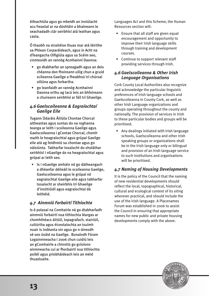éifeachtúla agus go mbeidh an inniúlacht acu freastal ar na dúshláin a bhaineann le seachadadh clár seirbhísí atá leathan agus casta.

Ó thaobh na straitéise thuas mar atá léirithe sa Phlean Corparáideach, agus in Acht na dTeangacha Oifigiúla agus sa Scéim seo, cinnteoidh an rannóg Acmhainní Daonna:

- go dtabharfar an spreagadh agus an deis chéanna don fhoireann uilig chun a gcuid scileanna Gaeilge a fheabhsú trí chúrsaí oiliúna agus forbartha.
- go leanfaidh an rannóg Acmhainní Daonna orthu ag tacú leis an bhfoireann a chuireann seirbhísí ar fáil trí Ghaeilge.

## *4.6Gaelscoileanna & Eagraíochtaí Gaeilge Eile*

Tugann Údaráis Áitiúla Chontae Chorcaí aitheantas agus suntas do na roghanna teanga ar leith i scoileanna Gaeilge agus Gaelscoileanna i gContae Chorcaí, chomh maith le heagraíochtaí agus grúpaí Gaeilge eile atá ag feidhmiú sa chontae agus go náisiúnta. Tabharfar tosaíocht do sholáthar seirbhísí i nGaeilge do na heagraíochtaí agus grúpaí ar leith seo.

 • Is i nGaeilge amháin nó go dátheangach a dhéanfar déileáil le scoileanna Gaeilge, Gaelscoileanna agus le grúpaí nó eagraíochtaí Gaeilge eile agus tabharfar tosaíocht ar sheirbhís trí Ghaeilge d'institiúidí agus eagraíochtaí dá leithéid.

## *4.7 Ainmniú Forbairtí Tithíochta*

Is é polasaí na Comhairle ná go dtabharfadh ainmniú forbairtí nua tithíochta léargas ar chomhthéacs áitiúil, topagrafach, stairiúil, cultúrtha agus éiceolaíochta an tsuímh nuair is indéanta sin agus go n-áireodh sé seo úsáid na Gaeilge. Bunaíodh Fóram Logainmneacha i 2006 chun cuidiú leis an gComhairle a chinntiú go gcloíonn ainmneacha cuí ar fhorbairtí nua tithíochta poiblí agus príobháideach leis an méid thuasluaite.

Languages Act and this Scheme, the Human Resources section will:

- Ensure that all staff are given equal encouragement and opportunity to improve their Irish language skills through training and development courses.
- Continue to support relevant staff providing services through Irish.

#### *4.6Gaelscoileanna & Other Irish Language Organisations*

Cork County Local Authorities also recognize and acknowledge the particular linguistic preferences of Irish language schools and Gaelscoileanna in County Cork, as well as other Irish Language organizations and groups operating throughout the county and nationally. The provision of services in Irish to these particular bodies and groups will be prioritised.

 • Any dealings initiated with Irish language schools, Gaelscoileanna and other Irish speaking groups or organizations shall be in the Irish language only or bilingual and provision of an Irish language service to such institutions and organisations will be prioritised.

## *4.7 Naming of Housing Developments*

It is the policy of the Council that the naming of new residential developments should reflect the local, topographical, historical, cultural and ecological context of its siting wherever practical, and should include the use of the Irish language. A Placenames Forum was established in 2006 to assist the Council in ensuring that appropriate names for new public and private housing developments comply with the above.